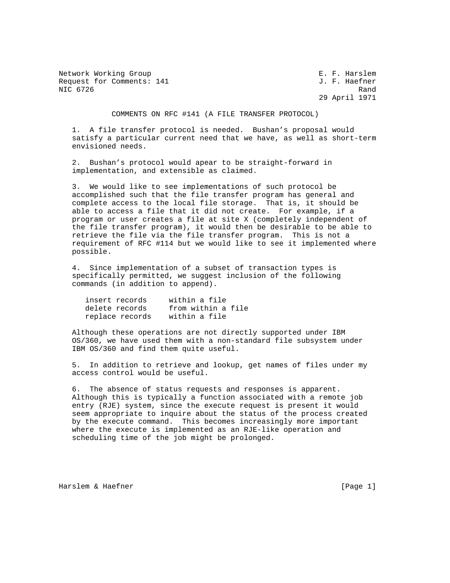Network Working Group **E. F. Harslem** Request for Comments: 141 J. F. Haefner NIC 6726 Rand Research Control of the Second Property of the Research Property of the Rand

29 April 1971

COMMENTS ON RFC #141 (A FILE TRANSFER PROTOCOL)

 1. A file transfer protocol is needed. Bushan's proposal would satisfy a particular current need that we have, as well as short-term envisioned needs.

 2. Bushan's protocol would apear to be straight-forward in implementation, and extensible as claimed.

 3. We would like to see implementations of such protocol be accomplished such that the file transfer program has general and complete access to the local file storage. That is, it should be able to access a file that it did not create. For example, if a program or user creates a file at site X (completely independent of the file transfer program), it would then be desirable to be able to retrieve the file via the file transfer program. This is not a requirement of RFC #114 but we would like to see it implemented where possible.

 4. Since implementation of a subset of transaction types is specifically permitted, we suggest inclusion of the following commands (in addition to append).

| insert records  | within a file      |  |  |
|-----------------|--------------------|--|--|
| delete records  | from within a file |  |  |
| replace records | within a file      |  |  |

 Although these operations are not directly supported under IBM OS/360, we have used them with a non-standard file subsystem under IBM OS/360 and find them quite useful.

 5. In addition to retrieve and lookup, get names of files under my access control would be useful.

 6. The absence of status requests and responses is apparent. Although this is typically a function associated with a remote job entry (RJE) system, since the execute request is present it would seem appropriate to inquire about the status of the process created by the execute command. This becomes increasingly more important where the execute is implemented as an RJE-like operation and scheduling time of the job might be prolonged.

Harslem & Haefner **Example 2018** (Page 1)